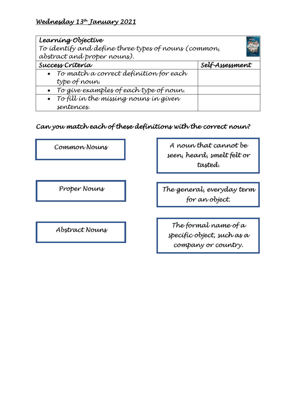# *Wednesday 13th January 2021*

| Learning Objective                                   |                 |
|------------------------------------------------------|-----------------|
| To identify and define three types of nouns (common, |                 |
| abstract and proper nouns).                          |                 |
| Success Criteria                                     | Self-Assessment |
| To match a correct definition for each               |                 |
| type of noun.                                        |                 |
| • To give examples of each type of noun.             |                 |
| $\bullet$ To fill in the missing nouns in given      |                 |
| sentences.                                           |                 |

# *Can you match each of these definitions with the correct noun?*

*Common Nouns*

*A noun that cannot be seen, heard, smelt felt or tasted.*

*Proper Nouns*

*Abstract Nouns*

*The general, everyday term for an object.* 

*The formal name of a specific object, such as a company or country.*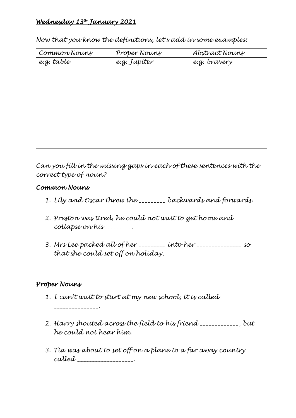# *Wednesday 13th January 2021*

*Now that you know the definitions, let's add in some examples:*

| Common Nouns | Proper Nouns | Abstract Nouns |
|--------------|--------------|----------------|
| e.g. table   | e.g. Jupíter | e.g. bravery   |
|              |              |                |
|              |              |                |
|              |              |                |
|              |              |                |
|              |              |                |
|              |              |                |
|              |              |                |
|              |              |                |
|              |              |                |

*Can you fill in the missing gaps in each of these sentences with the correct type of noun?* 

#### *Common Nouns*

- *1. Lily and Oscar threw the \_\_\_\_\_\_\_\_\_ backwards and forwards.*
- *2. Preston was tired, he could not wait to get home and collapse on his \_\_\_\_\_\_\_\_\_.*
- *3. Mrs Lee packed all of her \_\_\_\_\_\_\_\_\_ into her \_\_\_\_\_\_\_\_\_\_\_\_\_\_\_ so that she could set off on holiday.*

### *Proper Nouns*

- *1. I can't wait to start at my new school, it is called \_\_\_\_\_\_\_\_\_\_\_\_\_\_\_.*
- *2. Harry shouted across the field to his friend \_\_\_\_\_\_\_\_\_\_\_\_\_, but he could not hear him.*
- *3. Tia was about to set off on a plane to a far away country called \_\_\_\_\_\_\_\_\_\_\_\_\_\_\_\_\_\_\_.*